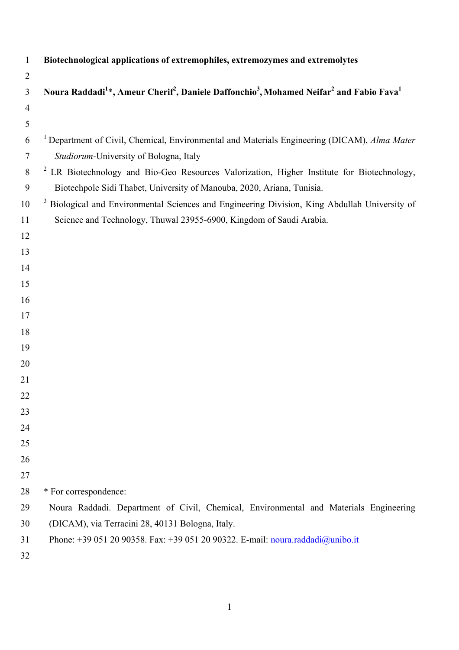| 1              | Biotechnological applications of extremophiles, extremozymes and extremolytes                                                                       |
|----------------|-----------------------------------------------------------------------------------------------------------------------------------------------------|
| $\overline{2}$ |                                                                                                                                                     |
| $\overline{3}$ | Noura Raddadi <sup>1</sup> *, Ameur Cherif <sup>2</sup> , Daniele Daffonchio <sup>3</sup> , Mohamed Neifar <sup>2</sup> and Fabio Fava <sup>1</sup> |
| $\overline{4}$ |                                                                                                                                                     |
| 5              |                                                                                                                                                     |
| 6              | <sup>1</sup> Department of Civil, Chemical, Environmental and Materials Engineering (DICAM), Alma Mater                                             |
| 7              | Studiorum-University of Bologna, Italy                                                                                                              |
| 8              | <sup>2</sup> LR Biotechnology and Bio-Geo Resources Valorization, Higher Institute for Biotechnology,                                               |
| 9              | Biotechpole Sidi Thabet, University of Manouba, 2020, Ariana, Tunisia.                                                                              |
| 10             | Biological and Environmental Sciences and Engineering Division, King Abdullah University of<br>$\mathfrak{p}$                                       |
| 11             | Science and Technology, Thuwal 23955-6900, Kingdom of Saudi Arabia.                                                                                 |
| 12             |                                                                                                                                                     |
| 13             |                                                                                                                                                     |
| 14             |                                                                                                                                                     |
| 15             |                                                                                                                                                     |
| 16             |                                                                                                                                                     |
| 17             |                                                                                                                                                     |
| 18             |                                                                                                                                                     |
| 19             |                                                                                                                                                     |
| 20             |                                                                                                                                                     |
| 21             |                                                                                                                                                     |
| 22             |                                                                                                                                                     |
| 23             |                                                                                                                                                     |
| 24             |                                                                                                                                                     |
| 25             |                                                                                                                                                     |
| 26             |                                                                                                                                                     |
| 27<br>28       | * For correspondence:                                                                                                                               |
| 29             |                                                                                                                                                     |
| 30             | Noura Raddadi. Department of Civil, Chemical, Environmental and Materials Engineering<br>(DICAM), via Terracini 28, 40131 Bologna, Italy.           |
| 31             | Phone: +39 051 20 90358. Fax: +39 051 20 90322. E-mail: noura.raddadi@unibo.it                                                                      |
| 32             |                                                                                                                                                     |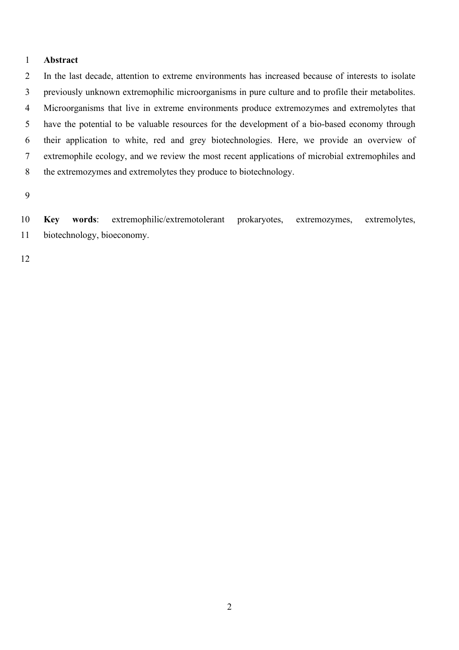## **Abstract**

 In the last decade, attention to extreme environments has increased because of interests to isolate previously unknown extremophilic microorganisms in pure culture and to profile their metabolites. Microorganisms that live in extreme environments produce extremozymes and extremolytes that have the potential to be valuable resources for the development of a bio-based economy through their application to white, red and grey biotechnologies. Here, we provide an overview of extremophile ecology, and we review the most recent applications of microbial extremophiles and the extremozymes and extremolytes they produce to biotechnology.

 **Key words**: extremophilic/extremotolerant prokaryotes, extremozymes, extremolytes, biotechnology, bioeconomy.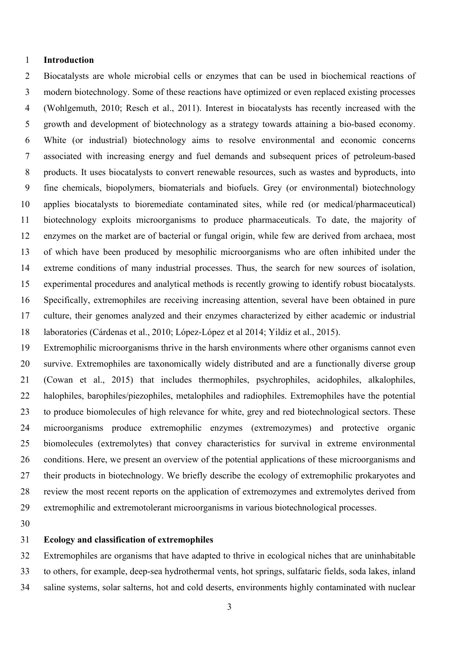## **Introduction**

 Biocatalysts are whole microbial cells or enzymes that can be used in biochemical reactions of modern biotechnology. Some of these reactions have optimized or even replaced existing processes (Wohlgemuth, 2010; Resch et al., 2011). Interest in biocatalysts has recently increased with the growth and development of biotechnology as a strategy towards attaining a bio-based economy. White (or industrial) biotechnology aims to resolve environmental and economic concerns associated with increasing energy and fuel demands and subsequent prices of petroleum-based products. It uses biocatalysts to convert renewable resources, such as wastes and byproducts, into fine chemicals, biopolymers, biomaterials and biofuels. Grey (or environmental) biotechnology applies biocatalysts to bioremediate contaminated sites, while red (or medical/pharmaceutical) biotechnology exploits microorganisms to produce pharmaceuticals. To date, the majority of enzymes on the market are of bacterial or fungal origin, while few are derived from archaea, most of which have been produced by mesophilic microorganisms who are often inhibited under the extreme conditions of many industrial processes. Thus, the search for new sources of isolation, experimental procedures and analytical methods is recently growing to identify robust biocatalysts. Specifically, extremophiles are receiving increasing attention, several have been obtained in pure culture, their genomes analyzed and their enzymes characterized by either academic or industrial laboratories (Cárdenas et al., 2010; López-López et al 2014; Yildiz et al., 2015).

 Extremophilic microorganisms thrive in the harsh environments where other organisms cannot even survive. Extremophiles are taxonomically widely distributed and are a functionally diverse group (Cowan et al., 2015) that includes thermophiles, psychrophiles, acidophiles, alkalophiles, halophiles, barophiles/piezophiles, metalophiles and radiophiles. Extremophiles have the potential to produce biomolecules of high relevance for white, grey and red biotechnological sectors. These microorganisms produce extremophilic enzymes (extremozymes) and protective organic biomolecules (extremolytes) that convey characteristics for survival in extreme environmental conditions. Here, we present an overview of the potential applications of these microorganisms and their products in biotechnology. We briefly describe the ecology of extremophilic prokaryotes and review the most recent reports on the application of extremozymes and extremolytes derived from extremophilic and extremotolerant microorganisms in various biotechnological processes.

# **Ecology and classification of extremophiles**

 Extremophiles are organisms that have adapted to thrive in ecological niches that are uninhabitable to others, for example, deep-sea hydrothermal vents, hot springs, sulfataric fields, soda lakes, inland saline systems, solar salterns, hot and cold deserts, environments highly contaminated with nuclear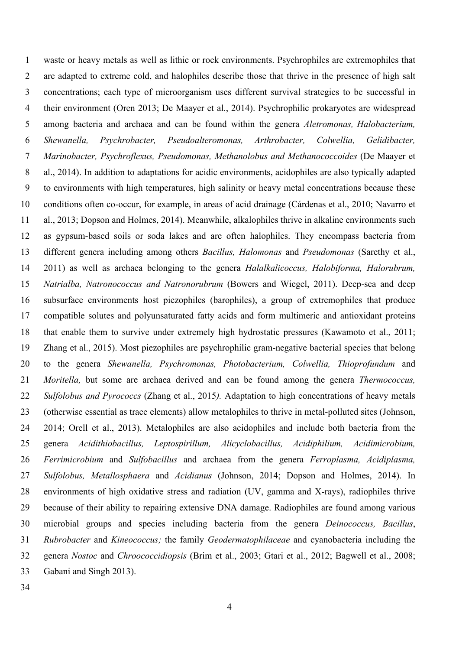waste or heavy metals as well as lithic or rock environments. Psychrophiles are extremophiles that are adapted to extreme cold, and halophiles describe those that thrive in the presence of high salt concentrations; each type of microorganism uses different survival strategies to be successful in their environment (Oren 2013; De Maayer et al., 2014). Psychrophilic prokaryotes are widespread among bacteria and archaea and can be found within the genera *Aletromonas, Halobacterium, Shewanella, Psychrobacter, Pseudoalteromonas, Arthrobacter, Colwellia, Gelidibacter, Marinobacter, Psychroflexus, Pseudomonas, Methanolobus and Methanococcoides* (De Maayer et al., 2014). In addition to adaptations for acidic environments, acidophiles are also typically adapted to environments with high temperatures, high salinity or heavy metal concentrations because these conditions often co-occur, for example, in areas of acid drainage (Cárdenas et al., 2010; Navarro et al., 2013; Dopson and Holmes, 2014). Meanwhile, alkalophiles thrive in alkaline environments such as gypsum-based soils or soda lakes and are often halophiles. They encompass bacteria from different genera including among others *Bacillus, Halomonas* and *Pseudomonas* (Sarethy et al., 2011) as well as archaea belonging to the genera *Halalkalicoccus, Halobiforma, Halorubrum, Natrialba, Natronococcus and Natronorubrum* (Bowers and Wiegel, 2011). Deep-sea and deep subsurface environments host piezophiles (barophiles), a group of extremophiles that produce compatible solutes and polyunsaturated fatty acids and form multimeric and antioxidant proteins that enable them to survive under extremely high hydrostatic pressures (Kawamoto et al., 2011; Zhang et al., 2015). Most piezophiles are psychrophilic gram-negative bacterial species that belong to the genera *Shewanella, Psychromonas, Photobacterium, Colwellia, Thioprofundum* and *Moritella,* but some are archaea derived and can be found among the genera *Thermococcus, Sulfolobus and Pyrococcs* (Zhang et al., 2015*).* Adaptation to high concentrations of heavy metals (otherwise essential as trace elements) allow metalophiles to thrive in metal-polluted sites (Johnson, 2014; Orell et al., 2013). Metalophiles are also acidophiles and include both bacteria from the genera *Acidithiobacillus, Leptospirillum, Alicyclobacillus, Acidiphilium, Acidimicrobium, Ferrimicrobium* and *Sulfobacillus* and archaea from the genera *Ferroplasma, Acidiplasma, Sulfolobus, Metallosphaera* and *Acidianus* (Johnson, 2014; Dopson and Holmes, 2014). In environments of high oxidative stress and radiation (UV, gamma and X-rays), radiophiles thrive because of their ability to repairing extensive DNA damage. Radiophiles are found among various microbial groups and species including bacteria from the genera *Deinococcus, Bacillus*, *Rubrobacter* and *Kineococcus;* the family *Geodermatophilaceae* and cyanobacteria including the genera *Nostoc* and *Chroococcidiopsis* (Brim et al., 2003; Gtari et al., 2012; Bagwell et al., 2008; Gabani and Singh 2013).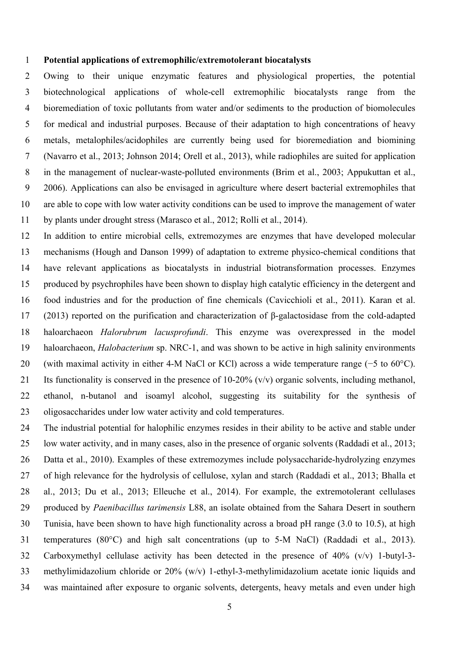#### **Potential applications of extremophilic/extremotolerant biocatalysts**

 Owing to their unique enzymatic features and physiological properties, the potential biotechnological applications of whole-cell extremophilic biocatalysts range from the bioremediation of toxic pollutants from water and/or sediments to the production of biomolecules for medical and industrial purposes. Because of their adaptation to high concentrations of heavy metals, metalophiles/acidophiles are currently being used for bioremediation and biomining (Navarro et al., 2013; Johnson 2014; Orell et al., 2013), while radiophiles are suited for application in the management of nuclear-waste-polluted environments (Brim et al., 2003; Appukuttan et al., 2006). Applications can also be envisaged in agriculture where desert bacterial extremophiles that are able to cope with low water activity conditions can be used to improve the management of water by plants under drought stress (Marasco et al., 2012; Rolli et al., 2014).

 In addition to entire microbial cells, extremozymes are enzymes that have developed molecular mechanisms (Hough and Danson 1999) of adaptation to extreme physico-chemical conditions that have relevant applications as biocatalysts in industrial biotransformation processes. Enzymes produced by psychrophiles have been shown to display high catalytic efficiency in the detergent and food industries and for the production of fine chemicals (Cavicchioli et al., 2011). Karan et al. (2013) reported on the purification and characterization of β-galactosidase from the cold-adapted haloarchaeon *Halorubrum lacusprofundi*. This enzyme was overexpressed in the model haloarchaeon, *Halobacterium* sp. NRC-1, and was shown to be active in high salinity environments (with maximal activity in either 4-M NaCl or KCl) across a wide temperature range (−5 to 60°C). 21 Its functionality is conserved in the presence of 10-20%  $(v/v)$  organic solvents, including methanol, ethanol, n-butanol and isoamyl alcohol, suggesting its suitability for the synthesis of oligosaccharides under low water activity and cold temperatures.

 The industrial potential for halophilic enzymes resides in their ability to be active and stable under low water activity, and in many cases, also in the presence of organic solvents (Raddadi et al., 2013; Datta et al., 2010). Examples of these extremozymes include polysaccharide-hydrolyzing enzymes of high relevance for the hydrolysis of cellulose, xylan and starch (Raddadi et al., 2013; Bhalla et al., 2013; Du et al., 2013; Elleuche et al., 2014). For example, the extremotolerant cellulases produced by *Paenibacillus tarimensis* L88, an isolate obtained from the Sahara Desert in southern Tunisia, have been shown to have high functionality across a broad pH range (3.0 to 10.5), at high temperatures (80°C) and high salt concentrations (up to 5-M NaCl) (Raddadi et al., 2013). Carboxymethyl cellulase activity has been detected in the presence of 40% (v/v) 1-butyl-3- methylimidazolium chloride or 20% (w/v) 1-ethyl-3-methylimidazolium acetate ionic liquids and was maintained after exposure to organic solvents, detergents, heavy metals and even under high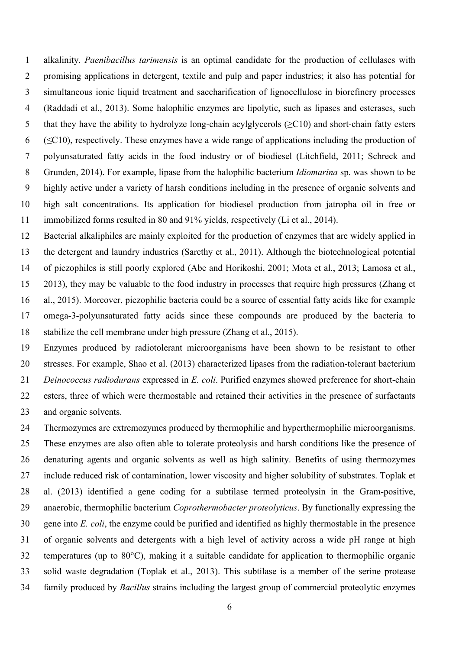alkalinity. *Paenibacillus tarimensis* is an optimal candidate for the production of cellulases with promising applications in detergent, textile and pulp and paper industries; it also has potential for simultaneous ionic liquid treatment and saccharification of lignocellulose in biorefinery processes (Raddadi et al., 2013). Some halophilic enzymes are lipolytic, such as lipases and esterases, such 5 that they have the ability to hydrolyze long-chain acylglycerols  $(\geq C10)$  and short-chain fatty esters 6 ( $\leq$ C10), respectively. These enzymes have a wide range of applications including the production of polyunsaturated fatty acids in the food industry or of biodiesel (Litchfield, 2011; Schreck and Grunden, 2014). For example, lipase from the halophilic bacterium *Idiomarina* sp. was shown to be highly active under a variety of harsh conditions including in the presence of organic solvents and high salt concentrations. Its application for biodiesel production from jatropha oil in free or immobilized forms resulted in 80 and 91% yields, respectively (Li et al., 2014).

 Bacterial alkaliphiles are mainly exploited for the production of enzymes that are widely applied in the detergent and laundry industries (Sarethy et al., 2011). Although the biotechnological potential of piezophiles is still poorly explored (Abe and Horikoshi, 2001; Mota et al., 2013; Lamosa et al., 2013), they may be valuable to the food industry in processes that require high pressures (Zhang et al., 2015). Moreover, piezophilic bacteria could be a source of essential fatty acids like for example omega-3-polyunsaturated fatty acids since these compounds are produced by the bacteria to stabilize the cell membrane under high pressure (Zhang et al., 2015).

 Enzymes produced by radiotolerant microorganisms have been shown to be resistant to other stresses. For example, Shao et al. (2013) characterized lipases from the radiation-tolerant bacterium *Deinococcus radiodurans* expressed in *E. coli*. Purified enzymes showed preference for short-chain esters, three of which were thermostable and retained their activities in the presence of surfactants and organic solvents.

 Thermozymes are extremozymes produced by thermophilic and hyperthermophilic microorganisms. These enzymes are also often able to tolerate proteolysis and harsh conditions like the presence of denaturing agents and organic solvents as well as high salinity. Benefits of using thermozymes include reduced risk of contamination, lower viscosity and higher solubility of substrates. Toplak et al. (2013) identified a gene coding for a subtilase termed proteolysin in the Gram-positive, anaerobic, thermophilic bacterium *Coprothermobacter proteolyticus*. By functionally expressing the gene into *E. coli*, the enzyme could be purified and identified as highly thermostable in the presence of organic solvents and detergents with a high level of activity across a wide pH range at high temperatures (up to 80°C), making it a suitable candidate for application to thermophilic organic solid waste degradation (Toplak et al., 2013). This subtilase is a member of the serine protease family produced by *Bacillus* strains including the largest group of commercial proteolytic enzymes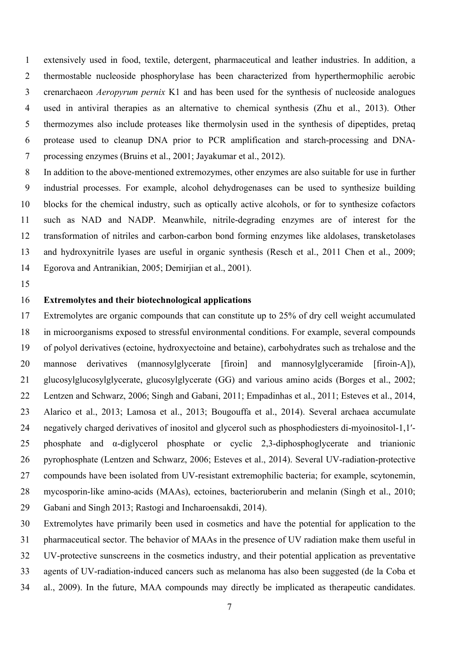extensively used in food, textile, detergent, pharmaceutical and leather industries. In addition, a thermostable nucleoside phosphorylase has been characterized from hyperthermophilic aerobic crenarchaeon *Aeropyrum pernix* K1 and has been used for the synthesis of nucleoside analogues used in antiviral therapies as an alternative to chemical synthesis (Zhu et al., 2013). Other thermozymes also include proteases like thermolysin used in the synthesis of dipeptides, pretaq protease used to cleanup DNA prior to PCR amplification and starch-processing and DNA-processing enzymes (Bruins et al., 2001; Jayakumar et al., 2012).

 In addition to the above-mentioned extremozymes, other enzymes are also suitable for use in further industrial processes. For example, alcohol dehydrogenases can be used to synthesize building blocks for the chemical industry, such as optically active alcohols, or for to synthesize cofactors such as NAD and NADP. Meanwhile, nitrile-degrading enzymes are of interest for the transformation of nitriles and carbon-carbon bond forming enzymes like aldolases, transketolases and hydroxynitrile lyases are useful in organic synthesis (Resch et al., 2011 Chen et al., 2009; Egorova and Antranikian, 2005; Demirjian et al., 2001).

# **Extremolytes and their biotechnological applications**

 Extremolytes are organic compounds that can constitute up to 25% of dry cell weight accumulated in microorganisms exposed to stressful environmental conditions. For example, several compounds of polyol derivatives (ectoine, hydroxyectoine and betaine), carbohydrates such as trehalose and the mannose derivatives (mannosylglycerate [firoin] and mannosylglyceramide [firoin-A]), glucosylglucosylglycerate, glucosylglycerate (GG) and various amino acids (Borges et al., 2002; Lentzen and Schwarz, 2006; Singh and Gabani, 2011; Empadinhas et al., 2011; Esteves et al., 2014, Alarico et al., 2013; Lamosa et al., 2013; Bougouffa et al., 2014). Several archaea accumulate negatively charged derivatives of inositol and glycerol such as phosphodiesters di-myoinositol-1,1′- phosphate and α-diglycerol phosphate or cyclic 2,3-diphosphoglycerate and trianionic pyrophosphate (Lentzen and Schwarz, 2006; Esteves et al., 2014). Several UV-radiation-protective compounds have been isolated from UV-resistant extremophilic bacteria; for example, scytonemin, mycosporin-like amino-acids (MAAs), ectoines, bacterioruberin and melanin (Singh et al., 2010; Gabani and Singh 2013; Rastogi and Incharoensakdi, 2014).

 Extremolytes have primarily been used in cosmetics and have the potential for application to the pharmaceutical sector. The behavior of MAAs in the presence of UV radiation make them useful in UV-protective sunscreens in the cosmetics industry, and their potential application as preventative agents of UV-radiation-induced cancers such as melanoma has also been suggested (de la Coba et al., 2009). In the future, MAA compounds may directly be implicated as therapeutic candidates.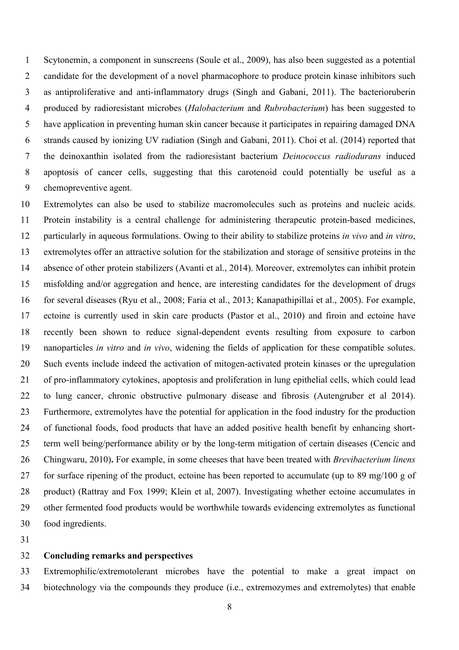Scytonemin, a component in sunscreens (Soule et al., 2009), has also been suggested as a potential 2 candidate for the development of a novel pharmacophore to produce protein kinase inhibitors such as antiproliferative and anti-inflammatory drugs (Singh and Gabani, 2011). The bacterioruberin produced by radioresistant microbes (*Halobacterium* and *Rubrobacterium*) has been suggested to have application in preventing human skin cancer because it participates in repairing damaged DNA strands caused by ionizing UV radiation (Singh and Gabani, 2011). Choi et al. (2014) reported that the deinoxanthin isolated from the radioresistant bacterium *Deinococcus radiodurans* induced apoptosis of cancer cells, suggesting that this carotenoid could potentially be useful as a chemopreventive agent.

 Extremolytes can also be used to stabilize macromolecules such as proteins and nucleic acids. Protein instability is a central challenge for administering therapeutic protein-based medicines, particularly in aqueous formulations. Owing to their ability to stabilize proteins *in vivo* and *in vitro*, extremolytes offer an attractive solution for the stabilization and storage of sensitive proteins in the absence of other protein stabilizers (Avanti et al., 2014). Moreover, extremolytes can inhibit protein misfolding and/or aggregation and hence, are interesting candidates for the development of drugs for several diseases (Ryu et al., 2008; Faria et al., 2013; Kanapathipillai et al., 2005). For example, ectoine is currently used in skin care products (Pastor et al., 2010) and firoin and ectoine have recently been shown to reduce signal-dependent events resulting from exposure to carbon nanoparticles *in vitro* and *in vivo*, widening the fields of application for these compatible solutes. Such events include indeed the activation of mitogen-activated protein kinases or the upregulation of pro-inflammatory cytokines, apoptosis and proliferation in lung epithelial cells, which could lead to lung cancer, chronic obstructive pulmonary disease and fibrosis (Autengruber et al 2014). Furthermore, extremolytes have the potential for application in the food industry for the production of functional foods, food products that have an added positive health benefit by enhancing short- term well being/performance ability or by the long-term mitigation of certain diseases (Cencic and Chingwaru, 2010)**.** For example, in some cheeses that have been treated with *Brevibacterium linens* for surface ripening of the product, ectoine has been reported to accumulate (up to 89 mg/100 g of product) (Rattray and Fox 1999; Klein et al, 2007). Investigating whether ectoine accumulates in other fermented food products would be worthwhile towards evidencing extremolytes as functional food ingredients.

## **Concluding remarks and perspectives**

 Extremophilic/extremotolerant microbes have the potential to make a great impact on biotechnology via the compounds they produce (i.e., extremozymes and extremolytes) that enable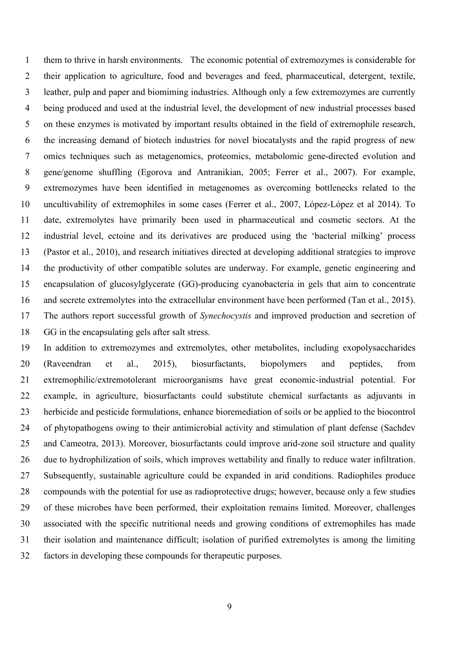them to thrive in harsh environments. The economic potential of extremozymes is considerable for their application to agriculture, food and beverages and feed, pharmaceutical, detergent, textile, leather, pulp and paper and biomiming industries. Although only a few extremozymes are currently being produced and used at the industrial level, the development of new industrial processes based on these enzymes is motivated by important results obtained in the field of extremophile research, the increasing demand of biotech industries for novel biocatalysts and the rapid progress of new omics techniques such as metagenomics, proteomics, metabolomic gene-directed evolution and gene/genome shuffling (Egorova and Antranikian, 2005; Ferrer et al., 2007). For example, extremozymes have been identified in metagenomes as overcoming bottlenecks related to the uncultivability of extremophiles in some cases (Ferrer et al., 2007, López-López et al 2014). To date, extremolytes have primarily been used in pharmaceutical and cosmetic sectors. At the industrial level, ectoine and its derivatives are produced using the 'bacterial milking' process (Pastor et al., 2010), and research initiatives directed at developing additional strategies to improve the productivity of other compatible solutes are underway. For example, genetic engineering and encapsulation of glucosylglycerate (GG)-producing cyanobacteria in gels that aim to concentrate and secrete extremolytes into the extracellular environment have been performed (Tan et al., 2015). The authors report successful growth of *Synechocystis* and improved production and secretion of GG in the encapsulating gels after salt stress.

 In addition to extremozymes and extremolytes, other metabolites, including exopolysaccharides (Raveendran et al., 2015), biosurfactants, biopolymers and peptides, from extremophilic/extremotolerant microorganisms have great economic-industrial potential. For example, in agriculture, biosurfactants could substitute chemical surfactants as adjuvants in herbicide and pesticide formulations, enhance bioremediation of soils or be applied to the biocontrol of phytopathogens owing to their antimicrobial activity and stimulation of plant defense (Sachdev and Cameotra, 2013). Moreover, biosurfactants could improve arid-zone soil structure and quality due to hydrophilization of soils, which improves wettability and finally to reduce water infiltration. Subsequently, sustainable agriculture could be expanded in arid conditions. Radiophiles produce compounds with the potential for use as radioprotective drugs; however, because only a few studies of these microbes have been performed, their exploitation remains limited. Moreover, challenges associated with the specific nutritional needs and growing conditions of extremophiles has made their isolation and maintenance difficult; isolation of purified extremolytes is among the limiting factors in developing these compounds for therapeutic purposes.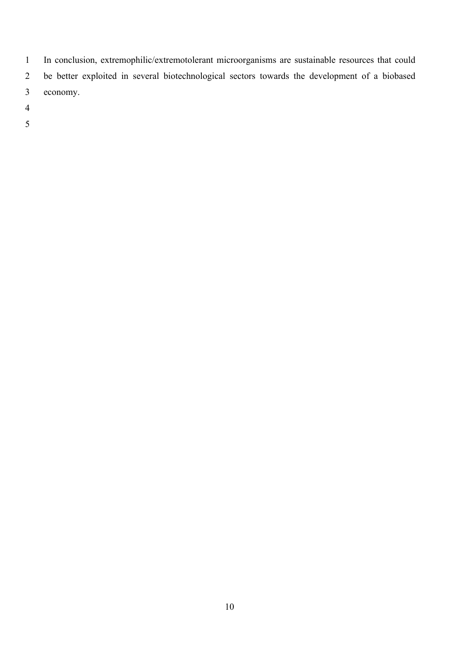- In conclusion, extremophilic/extremotolerant microorganisms are sustainable resources that could be better exploited in several biotechnological sectors towards the development of a biobased economy.
- 
-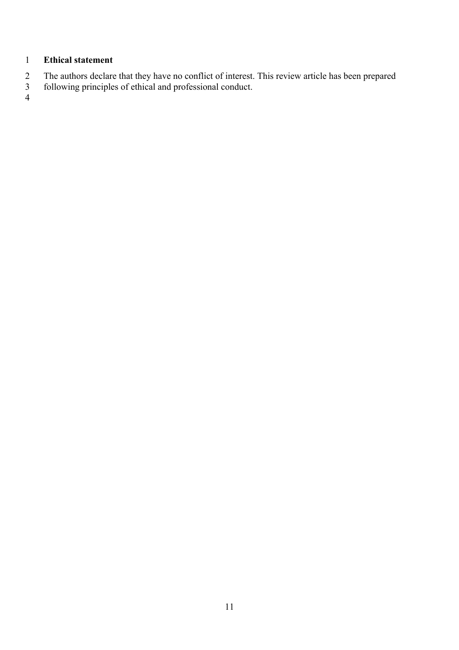# **Ethical statement**

- The authors declare that they have no conflict of interest. This review article has been prepared
- following principles of ethical and professional conduct.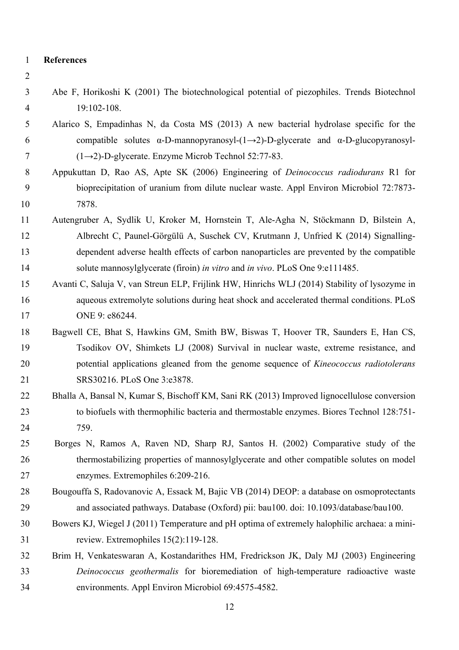#### **References**

- 
- Abe F, Horikoshi K (2001) The biotechnological potential of piezophiles. Trends Biotechnol 19:102-108.
- Alarico S, Empadinhas N, da Costa MS (2013) A new bacterial hydrolase specific for the 6 compatible solutes  $\alpha$ -D-mannopyranosyl- $(1\rightarrow 2)$ -D-glycerate and  $\alpha$ -D-glucopyranosyl-7 (1→2)-D-glycerate. Enzyme Microb Technol 52:77-83.
- Appukuttan D, Rao AS, Apte SK (2006) Engineering of *Deinococcus radiodurans* R1 for bioprecipitation of uranium from dilute nuclear waste. Appl Environ Microbiol 72:7873- 7878.
- Autengruber A, Sydlik U, Kroker M, Hornstein T, Ale-Agha N, Stöckmann D, Bilstein A, Albrecht C, Paunel-Görgülü A, Suschek CV, Krutmann J, Unfried K (2014) Signalling- dependent adverse health effects of carbon nanoparticles are prevented by the compatible solute mannosylglycerate (firoin) *in vitro* and *in vivo*. PLoS One 9:e111485.
- Avanti C, Saluja V, van Streun ELP, Frijlink HW, Hinrichs WLJ (2014) Stability of lysozyme in aqueous extremolyte solutions during heat shock and accelerated thermal conditions. PLoS 17 ONE 9: e86244.
- Bagwell CE, Bhat S, Hawkins GM, Smith BW, Biswas T, Hoover TR, Saunders E, Han CS, Tsodikov OV, Shimkets LJ (2008) Survival in nuclear waste, extreme resistance, and potential applications gleaned from the genome sequence of *Kineococcus radiotolerans* SRS30216. PLoS One 3:e3878.
- Bhalla A, Bansal N, Kumar S, Bischoff KM, Sani RK (2013) Improved lignocellulose conversion to biofuels with thermophilic bacteria and thermostable enzymes. Biores Technol 128:751- 759.
- Borges N, Ramos A, Raven ND, Sharp RJ, Santos H. (2002) Comparative study of the thermostabilizing properties of mannosylglycerate and other compatible solutes on model enzymes. Extremophiles 6:209-216.
- Bougouffa S, Radovanovic A, Essack M, Bajic VB (2014) DEOP: a database on osmoprotectants and associated pathways. Database (Oxford) pii: bau100. doi: 10.1093/database/bau100.
- Bowers KJ, Wiegel J (2011) Temperature and pH optima of extremely halophilic archaea: a mini-review. Extremophiles 15(2):119-128.
- Brim H, Venkateswaran A, Kostandarithes HM, Fredrickson JK, Daly MJ (2003) Engineering *Deinococcus geothermalis* for bioremediation of high-temperature radioactive waste environments. Appl Environ Microbiol 69:4575-4582.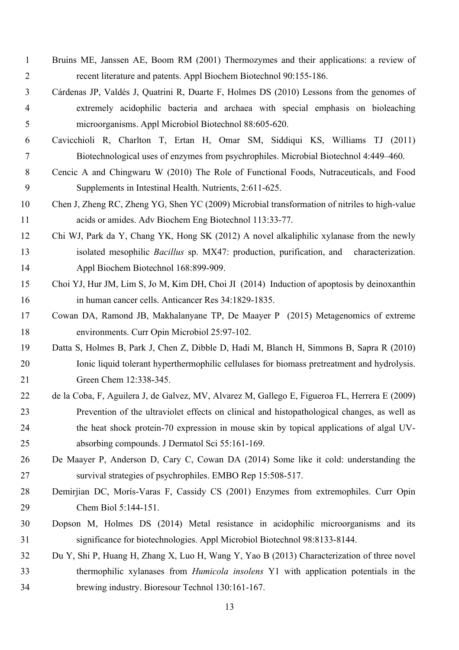- Bruins ME, Janssen AE, Boom RM (2001) Thermozymes and their applications: a review of recent literature and patents. Appl Biochem Biotechnol 90:155-186.
- Cárdenas JP, Valdés J, Quatrini R, Duarte F, Holmes DS (2010) Lessons from the genomes of extremely acidophilic bacteria and archaea with special emphasis on bioleaching microorganisms. Appl Microbiol Biotechnol 88:605-620.
- Cavicchioli R, Charlton T, Ertan H, Omar SM, Siddiqui KS, Williams TJ (2011) Biotechnological uses of enzymes from psychrophiles. Microbial Biotechnol 4:449–460.
- Cencic A and Chingwaru W (2010) The Role of Functional Foods, Nutraceuticals, and Food Supplements in Intestinal Health. Nutrients, 2:611-625.
- Chen J, Zheng RC, Zheng YG, Shen YC (2009) Microbial transformation of nitriles to high-value acids or amides. Adv Biochem Eng Biotechnol 113:33-77.
- Chi WJ, Park da Y, Chang YK, Hong SK (2012) A novel alkaliphilic xylanase from the newly isolated mesophilic *Bacillus* sp. MX47: production, purification, and characterization. Appl Biochem Biotechnol 168:899-909.
- Choi YJ, Hur JM, Lim S, Jo M, Kim DH, Choi JI (2014) Induction of apoptosis by deinoxanthin in human cancer cells. Anticancer Res 34:1829-1835.
- Cowan DA, Ramond JB, Makhalanyane TP, De Maayer P (2015) Metagenomics of extreme environments. Curr Opin Microbiol 25:97-102.
- Datta S, Holmes B, Park J, Chen Z, Dibble D, Hadi M, Blanch H, Simmons B, Sapra R (2010) Ionic liquid tolerant hyperthermophilic cellulases for biomass pretreatment and hydrolysis. Green Chem 12:338-345.
- de la Coba, F, Aguilera J, de Galvez, MV, Alvarez M, Gallego E, Figueroa FL, Herrera E (2009) Prevention of the ultraviolet effects on clinical and histopathological changes, as well as the heat shock protein-70 expression in mouse skin by topical applications of algal UV-absorbing compounds. J Dermatol Sci 55:161-169.
- De Maayer P, Anderson D, Cary C, Cowan DA (2014) Some like it cold: understanding the survival strategies of psychrophiles. EMBO Rep 15:508-517.
- Demirjian DC, Morís-Varas F, Cassidy CS (2001) Enzymes from extremophiles. Curr Opin Chem Biol 5:144-151.
- Dopson M, Holmes DS (2014) Metal resistance in acidophilic microorganisms and its significance for biotechnologies. Appl Microbiol Biotechnol 98:8133-8144.
- Du Y, Shi P, Huang H, Zhang X, Luo H, Wang Y, Yao B (2013) Characterization of three novel thermophilic xylanases from *Humicola insolens* Y1 with application potentials in the brewing industry. Bioresour Technol 130:161-167.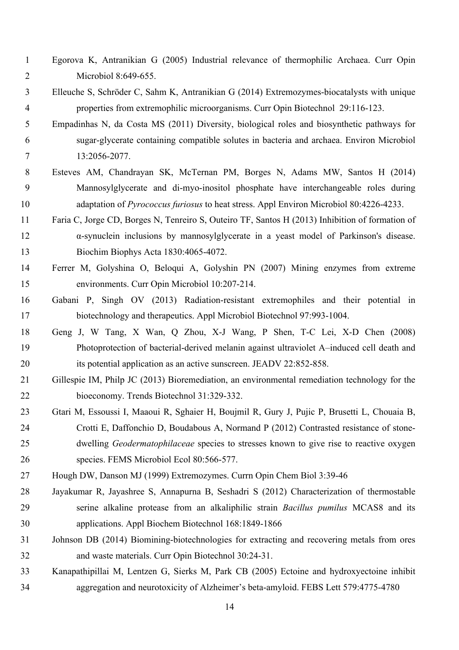- Egorova K, Antranikian G (2005) Industrial relevance of thermophilic Archaea. Curr Opin Microbiol 8:649-655.
- Elleuche S, Schröder C, Sahm K, Antranikian G (2014) Extremozymes-biocatalysts with unique properties from extremophilic microorganisms. Curr Opin Biotechnol 29:116-123.
- Empadinhas N, da Costa MS (2011) Diversity, biological roles and biosynthetic pathways for sugar-glycerate containing compatible solutes in bacteria and archaea. Environ Microbiol 13:2056-2077.
- Esteves AM, Chandrayan SK, McTernan PM, Borges N, Adams MW, Santos H (2014) Mannosylglycerate and di-myo-inositol phosphate have interchangeable roles during adaptation of *Pyrococcus furiosus* to heat stress. Appl Environ Microbiol 80:4226-4233.
- Faria C, Jorge CD, Borges N, Tenreiro S, Outeiro TF, Santos H (2013) Inhibition of formation of α-synuclein inclusions by mannosylglycerate in a yeast model of Parkinson's disease. Biochim Biophys Acta 1830:4065-4072.
- Ferrer M, Golyshina O, Beloqui A, Golyshin PN (2007) Mining enzymes from extreme environments. Curr Opin Microbiol 10:207-214.
- Gabani P, Singh OV (2013) Radiation-resistant extremophiles and their potential in biotechnology and therapeutics. Appl Microbiol Biotechnol 97:993-1004.
- Geng J, W Tang, X Wan, Q Zhou, X-J Wang, P Shen, T-C Lei, X-D Chen (2008) Photoprotection of bacterial-derived melanin against ultraviolet A–induced cell death and 20 its potential application as an active sunscreen. JEADV 22:852-858.
- Gillespie IM, Philp JC (2013) Bioremediation, an environmental remediation technology for the bioeconomy. Trends Biotechnol 31:329-332.
- Gtari M, Essoussi I, Maaoui R, Sghaier H, Boujmil R, Gury J, Pujic P, Brusetti L, Chouaia B, Crotti E, Daffonchio D, Boudabous A, Normand P (2012) Contrasted resistance of stone- dwelling *Geodermatophilaceae* species to stresses known to give rise to reactive oxygen species. FEMS Microbiol Ecol 80:566-577.
- Hough DW, Danson MJ (1999) Extremozymes. Currn Opin Chem Biol 3:39-46
- Jayakumar R, Jayashree S, Annapurna B, Seshadri S (2012) Characterization of thermostable serine alkaline protease from an alkaliphilic strain *Bacillus pumilus* MCAS8 and its applications. Appl Biochem Biotechnol 168:1849-1866
- Johnson DB (2014) Biomining-biotechnologies for extracting and recovering metals from ores and waste materials. Curr Opin Biotechnol 30:24-31.
- Kanapathipillai M, Lentzen G, Sierks M, Park CB (2005) Ectoine and hydroxyectoine inhibit aggregation and neurotoxicity of Alzheimer's beta-amyloid. FEBS Lett 579:4775-4780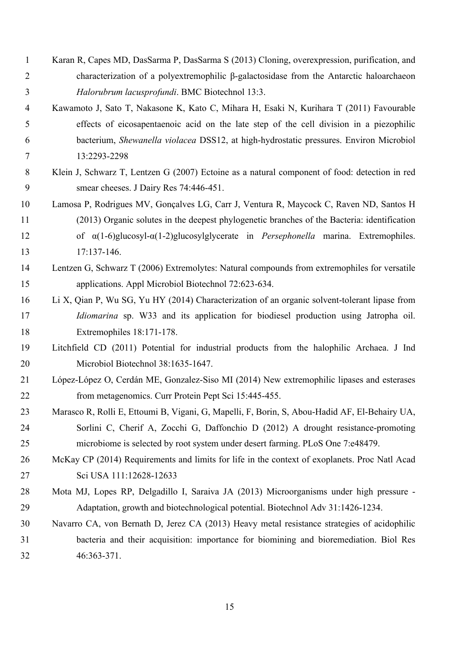- Karan R, Capes MD, DasSarma P, DasSarma S (2013) Cloning, overexpression, purification, and characterization of a polyextremophilic β-galactosidase from the Antarctic haloarchaeon *Halorubrum lacusprofundi*. BMC Biotechnol 13:3.
- Kawamoto J, Sato T, Nakasone K, Kato C, Mihara H, Esaki N, Kurihara T (2011) Favourable effects of eicosapentaenoic acid on the late step of the cell division in a piezophilic bacterium, *Shewanella violacea* DSS12, at high-hydrostatic pressures. Environ Microbiol 13:2293-2298
- Klein J, Schwarz T, Lentzen G (2007) Ectoine as a natural component of food: detection in red smear cheeses. J Dairy Res 74:446-451.
- Lamosa P, Rodrigues MV, Gonçalves LG, Carr J, Ventura R, Maycock C, Raven ND, Santos H (2013) Organic solutes in the deepest phylogenetic branches of the Bacteria: identification of α(1-6)glucosyl-α(1-2)glucosylglycerate in *Persephonella* marina. Extremophiles. 17:137-146.
- Lentzen G, Schwarz T (2006) Extremolytes: Natural compounds from extremophiles for versatile applications. Appl Microbiol Biotechnol 72:623-634.
- Li X, Qian P, Wu SG, Yu HY (2014) Characterization of an organic solvent-tolerant lipase from *Idiomarina* sp. W33 and its application for biodiesel production using Jatropha oil. Extremophiles 18:171-178.
- Litchfield CD (2011) Potential for industrial products from the halophilic Archaea. J Ind 20 Microbiol Biotechnol 38:1635-1647.
- López-López O, Cerdán ME, Gonzalez-Siso MI (2014) New extremophilic lipases and esterases from metagenomics. Curr Protein Pept Sci 15:445-455.
- Marasco R, Rolli E, Ettoumi B, Vigani, G, Mapelli, F, Borin, S, Abou-Hadid AF, El-Behairy UA, Sorlini C, Cherif A, Zocchi G, Daffonchio D (2012) A drought resistance-promoting microbiome is selected by root system under desert farming. PLoS One 7:e48479.
- McKay CP (2014) Requirements and limits for life in the context of exoplanets. Proc Natl Acad Sci USA 111:12628-12633
- Mota MJ, Lopes RP, Delgadillo I, Saraiva JA (2013) Microorganisms under high pressure Adaptation, growth and biotechnological potential. Biotechnol Adv 31:1426-1234.
- Navarro CA, von Bernath D, Jerez CA (2013) Heavy metal resistance strategies of acidophilic bacteria and their acquisition: importance for biomining and bioremediation. Biol Res 46:363-371.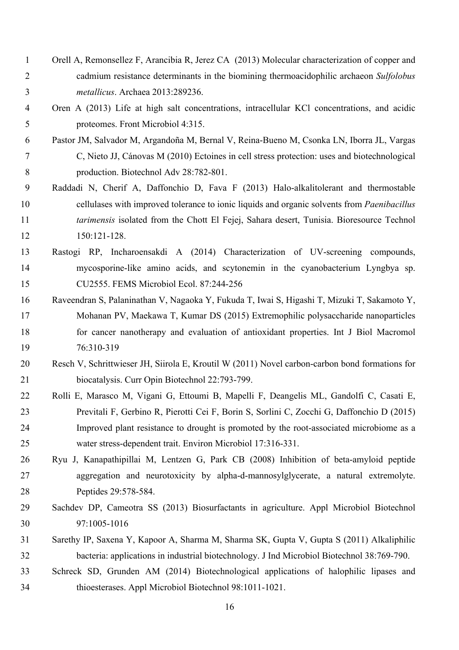- Orell A, Remonsellez F, Arancibia R, Jerez CA (2013) Molecular characterization of copper and cadmium resistance determinants in the biomining thermoacidophilic archaeon *Sulfolobus metallicus*. Archaea 2013:289236.
- Oren A (2013) Life at high salt concentrations, intracellular KCl concentrations, and acidic proteomes. Front Microbiol 4:315.
- Pastor JM, Salvador M, Argandoña M, Bernal V, Reina-Bueno M, Csonka LN, Iborra JL, Vargas C, Nieto JJ, Cánovas M (2010) Ectoines in cell stress protection: uses and biotechnological production. Biotechnol Adv 28:782-801.
- Raddadi N, Cherif A, Daffonchio D, Fava F (2013) Halo-alkalitolerant and thermostable cellulases with improved tolerance to ionic liquids and organic solvents from *Paenibacillus tarimensis* isolated from the Chott El Fejej, Sahara desert, Tunisia. Bioresource Technol 150:121-128.
- Rastogi RP, Incharoensakdi A (2014) Characterization of UV-screening compounds, mycosporine-like amino acids, and scytonemin in the cyanobacterium Lyngbya sp. CU2555. FEMS Microbiol Ecol. 87:244-256
- Raveendran S, Palaninathan V, Nagaoka Y, Fukuda T, Iwai S, Higashi T, Mizuki T, Sakamoto Y, Mohanan PV, Maekawa T, Kumar DS (2015) Extremophilic polysaccharide nanoparticles for cancer nanotherapy and evaluation of antioxidant properties. Int J Biol Macromol 76:310-319
- Resch V, Schrittwieser JH, Siirola E, Kroutil W (2011) Novel carbon-carbon bond formations for biocatalysis. Curr Opin Biotechnol 22:793-799.
- Rolli E, Marasco M, Vigani G, Ettoumi B, Mapelli F, Deangelis ML, Gandolfi C, Casati E, Previtali F, Gerbino R, Pierotti Cei F, Borin S, Sorlini C, Zocchi G, Daffonchio D (2015) Improved plant resistance to drought is promoted by the root-associated microbiome as a water stress-dependent trait. Environ Microbiol 17:316-331.
- Ryu J, Kanapathipillai M, Lentzen G, Park CB (2008) Inhibition of beta-amyloid peptide aggregation and neurotoxicity by alpha-d-mannosylglycerate, a natural extremolyte. Peptides 29:578-584.
- Sachdev DP, Cameotra SS (2013) Biosurfactants in agriculture. Appl Microbiol Biotechnol 97:1005-1016
- Sarethy IP, Saxena Y, Kapoor A, Sharma M, Sharma SK, Gupta V, Gupta S (2011) Alkaliphilic bacteria: applications in industrial biotechnology. J Ind Microbiol Biotechnol 38:769-790.
- Schreck SD, Grunden AM (2014) Biotechnological applications of halophilic lipases and thioesterases. Appl Microbiol Biotechnol 98:1011-1021.